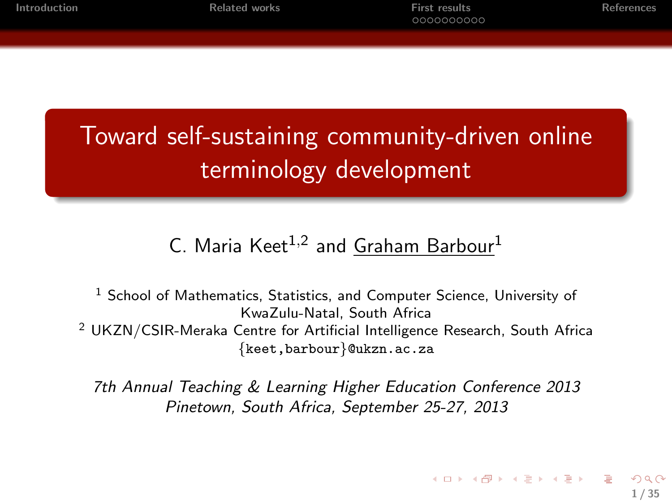| Introduction |  |  |  |  |
|--------------|--|--|--|--|
|              |  |  |  |  |

Toward self-sustaining community-driven online terminology development

#### C. Maria Keet<sup>1,2</sup> and <u>Graham Barbour</u><sup>1</sup>

 $1$  School of Mathematics, Statistics, and Computer Science, University of KwaZulu-Natal, South Africa <sup>2</sup> UKZN/CSIR-Meraka Centre for Artificial Intelligence Research, South Africa {keet,barbour}@ukzn.ac.za

7th Annual Teaching & Learning Higher Education Conference 2013 Pinetown, South Africa, September 25-27, 2013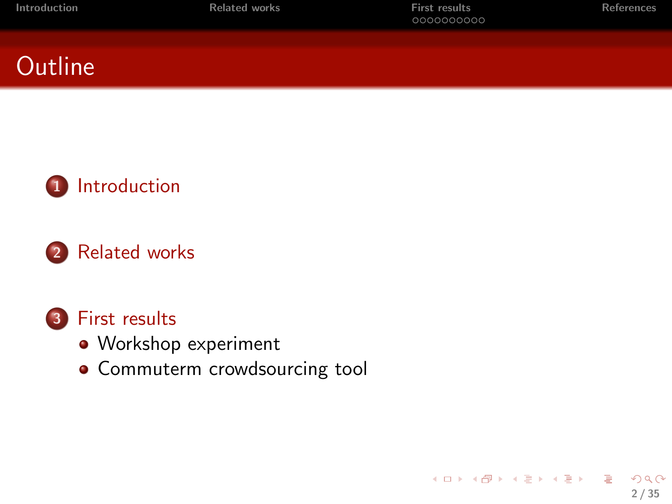| Introduction | <b>Related works</b> | First results<br>0000000000 | References |
|--------------|----------------------|-----------------------------|------------|
|              |                      |                             |            |

2 / 35

 $\Omega$ 

G.

メロメ メ都 メメ きょうくぼ メー





#### 2 [Related works](#page-13-0)

#### 3 [First results](#page-19-0)

- [Workshop experiment](#page-21-0)
- **[Commuterm crowdsourcing tool](#page-27-0)**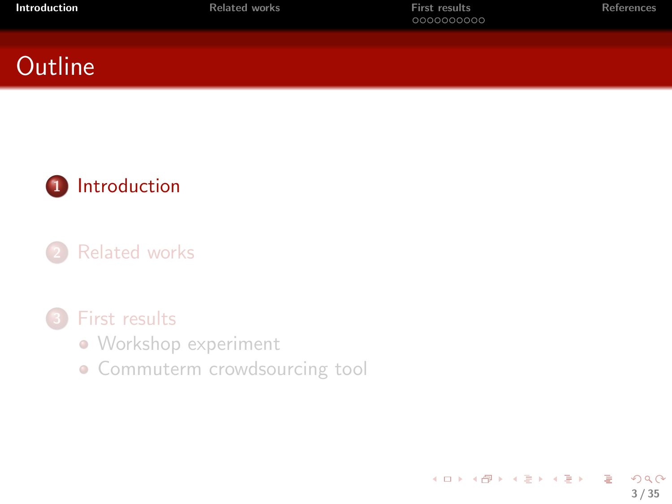| Introduction | <b>Related works</b> | <b>First results</b><br>0000000000 | <b>References</b> |
|--------------|----------------------|------------------------------------|-------------------|
|              |                      |                                    |                   |

<span id="page-2-0"></span>3 / 35

 $2990$ 

G.

メロメ メ御 メメ きょくきょう

#### **Outline**



#### **[Related works](#page-13-0)**

#### [First results](#page-19-0)

- [Workshop experiment](#page-21-0)
- **[Commuterm crowdsourcing tool](#page-27-0)**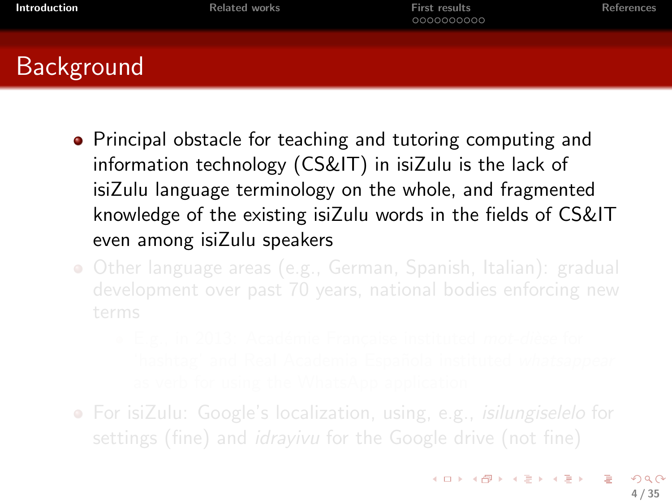| Introduction | Related works | <b>First results</b><br>0000000000 | References |
|--------------|---------------|------------------------------------|------------|
|              |               |                                    |            |

## **Background**

- **•** Principal obstacle for teaching and tutoring computing and information technology (CS&IT) in isiZulu is the lack of isiZulu language terminology on the whole, and fragmented knowledge of the existing isiZulu words in the fields of CS&IT even among isiZulu speakers
- Other language areas (e.g., German, Spanish, Italian): gradual
	-
- For isiZulu: Google's localization, using, e.g., *isilungiselelo* for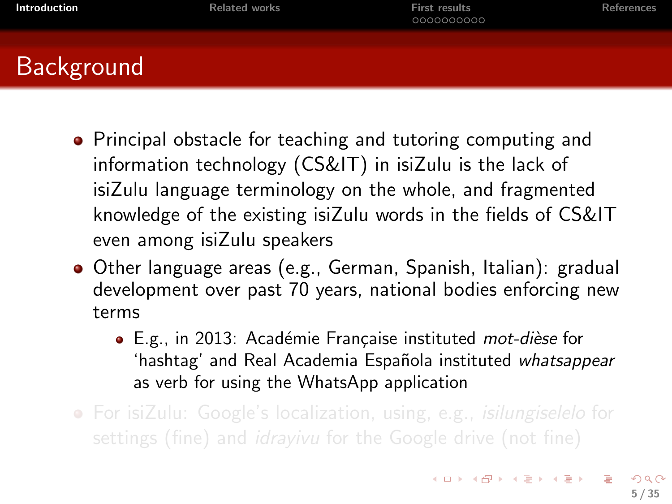| Introduction                                                                                                                                                               | <b>Related works</b> | First results<br>0000000000 | References |
|----------------------------------------------------------------------------------------------------------------------------------------------------------------------------|----------------------|-----------------------------|------------|
| $\mathcal{L}^{\text{max}}_{\text{max}}$<br>$\mathcal{L}^{\text{max}}_{\text{max}}$ and $\mathcal{L}^{\text{max}}_{\text{max}}$ and $\mathcal{L}^{\text{max}}_{\text{max}}$ |                      |                             |            |

- Background
	- **•** Principal obstacle for teaching and tutoring computing and information technology (CS&IT) in isiZulu is the lack of isiZulu language terminology on the whole, and fragmented knowledge of the existing isiZulu words in the fields of CS&IT even among isiZulu speakers
	- Other language areas (e.g., German, Spanish, Italian): gradual development over past 70 years, national bodies enforcing new terms
		- E.g., in 2013: Académie Française instituted mot-dièse for 'hashtag' and Real Academia Española instituted whatsappear as verb for using the WhatsApp application
	- For isiZulu: Google's localization, using, e.g., *isilungiselelo* for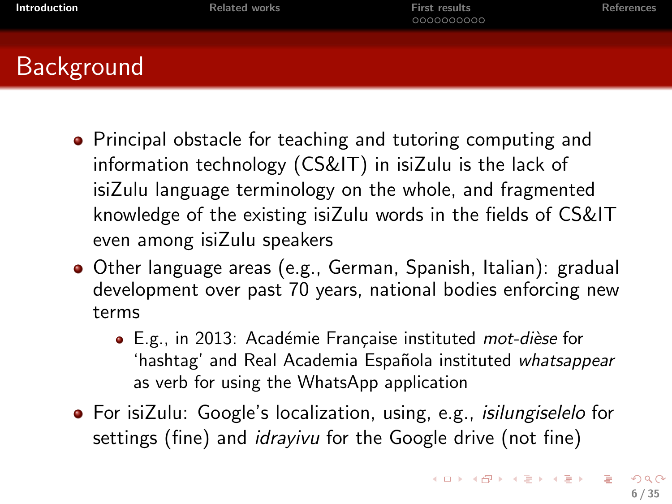## Background

- **•** Principal obstacle for teaching and tutoring computing and information technology (CS&IT) in isiZulu is the lack of isiZulu language terminology on the whole, and fragmented knowledge of the existing isiZulu words in the fields of CS&IT even among isiZulu speakers
- Other language areas (e.g., German, Spanish, Italian): gradual development over past 70 years, national bodies enforcing new terms
	- E.g., in 2013: Académie Française instituted mot-dièse for 'hashtag' and Real Academia Española instituted whatsappear as verb for using the WhatsApp application
- For isiZulu: Google's localization, using, e.g., *isilungiselelo* for settings (fine) and *idrayivu* for the Google drive (not fine)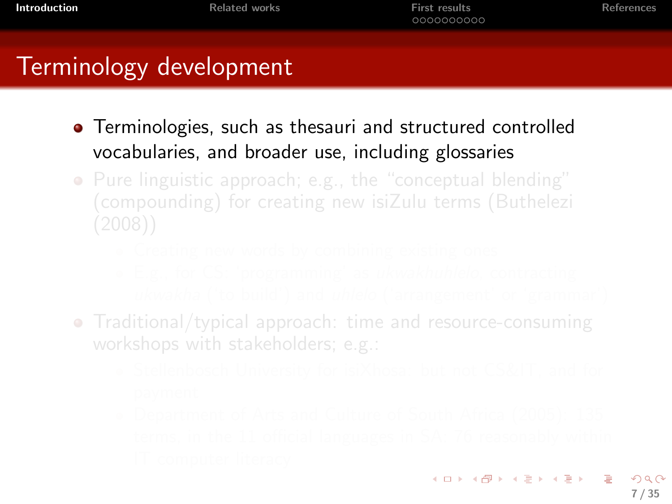## Terminology development

- **•** Terminologies, such as thesauri and structured controlled vocabularies, and broader use, including glossaries
- Pure linguistic approach; e.g., the "conceptual blending"
	-
	-
- Traditional/typical approach: time and resource-consuming
	-
	-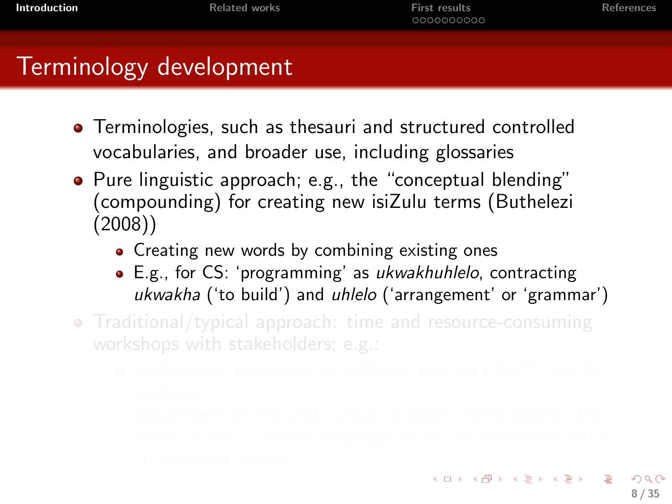**[Introduction](#page-2-0) [Related works](#page-13-0)** Reversion **[First results](#page-19-0)** [References](#page-33-0)

#### Terminology development

- **•** Terminologies, such as thesauri and structured controlled vocabularies, and broader use, including glossaries
- Pure linguistic approach; e.g., the "conceptual blending" (compounding) for creating new isiZulu terms (Buthelezi (2008))
	- Creating new words by combining existing ones
	- E.g., for CS: 'programming' as *ukwakhuhlelo*, contracting ukwakha ('to build') and uhlelo ('arrangement' or 'grammar')
- Traditional/typical approach: time and resource-consuming
	-
	-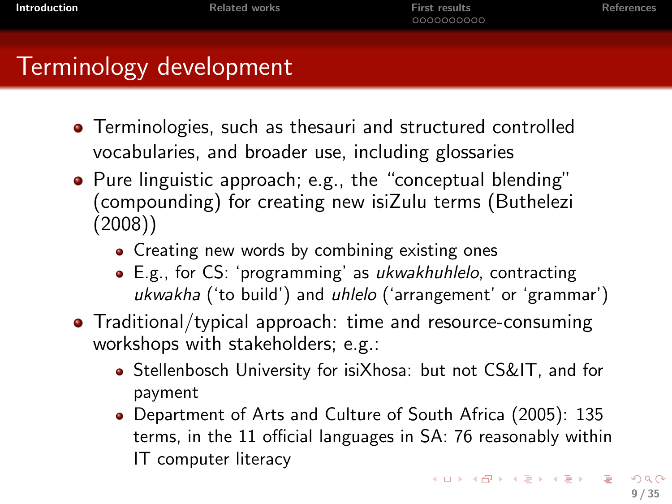**[Introduction](#page-2-0) [Related works](#page-13-0)** Reversion **[First results](#page-19-0)** [References](#page-33-0)

### Terminology development

- **•** Terminologies, such as thesauri and structured controlled vocabularies, and broader use, including glossaries
- Pure linguistic approach; e.g., the "conceptual blending" (compounding) for creating new isiZulu terms (Buthelezi (2008))
	- Creating new words by combining existing ones
	- E.g., for CS: 'programming' as *ukwakhuhlelo*, contracting ukwakha ('to build') and uhlelo ('arrangement' or 'grammar')
- Traditional/typical approach: time and resource-consuming workshops with stakeholders; e.g.:
	- Stellenbosch University for isiXhosa: but not CS&IT, and for payment
	- Department of Arts and Culture of South Africa (2005): 135 terms, in the 11 official languages in SA: 76 reasonably within IT computer literacy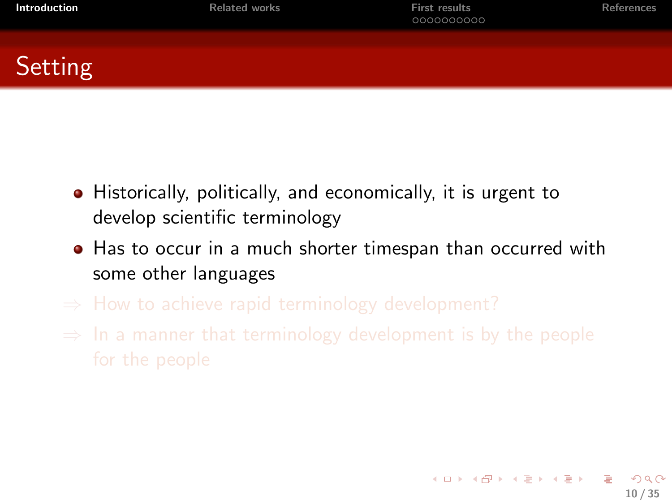| Introduction | <b>Related works</b> | <b>First results</b><br>0000000000 | <b>References</b> |
|--------------|----------------------|------------------------------------|-------------------|
|              |                      |                                    |                   |

**Setting** 

- Historically, politically, and economically, it is urgent to develop scientific terminology
- Has to occur in a much shorter timespan than occurred with some other languages
- 
-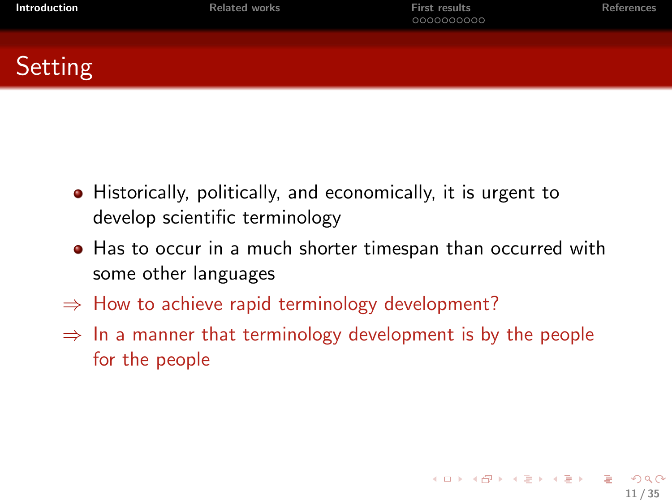| Introduction | <b>Related works</b> | <b>First results</b><br>0000000000 | References |
|--------------|----------------------|------------------------------------|------------|
|              |                      |                                    |            |

**Setting** 

- Historically, politically, and economically, it is urgent to develop scientific terminology
- Has to occur in a much shorter timespan than occurred with some other languages
- $\Rightarrow$  How to achieve rapid terminology development?
- $\Rightarrow$  In a manner that terminology development is by the people for the people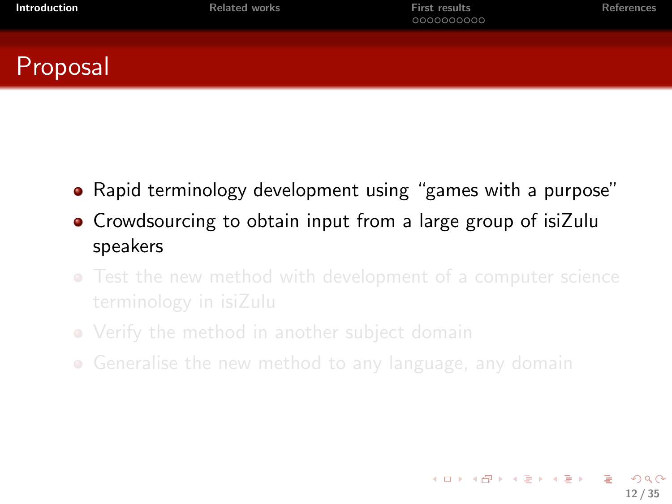| Introduction |
|--------------|
|              |

**[Introduction](#page-2-0) [Related works](#page-13-0)** Reversion **[First results](#page-19-0)** [References](#page-33-0)

12 / 35

 $\Omega$ 

イロト イ団ト イミト イミト

#### Proposal

- Rapid terminology development using "games with a purpose"
- Crowdsourcing to obtain input from a large group of isiZulu speakers
- Test the new method with development of a computer science
- Verify the method in another subject domain
- Generalise the new method to any language, any domain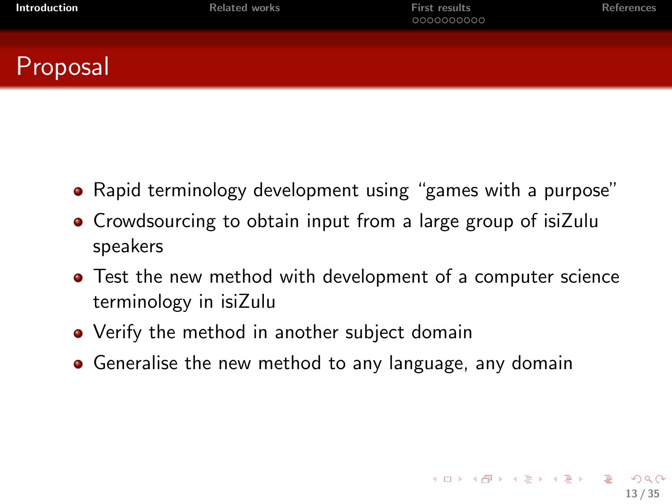| Introduction |
|--------------|
|              |

**[Introduction](#page-2-0) [Related works](#page-13-0)** Reversion **[First results](#page-19-0)** [References](#page-33-0)

13 / 35

K ロ ▶ K @ ▶ K 할 ▶ K 할 ▶ → 할 → 9 Q @

#### Proposal

- Rapid terminology development using "games with a purpose"
- Crowdsourcing to obtain input from a large group of isiZulu speakers
- Test the new method with development of a computer science terminology in isiZulu
- Verify the method in another subject domain
- Generalise the new method to any language, any domain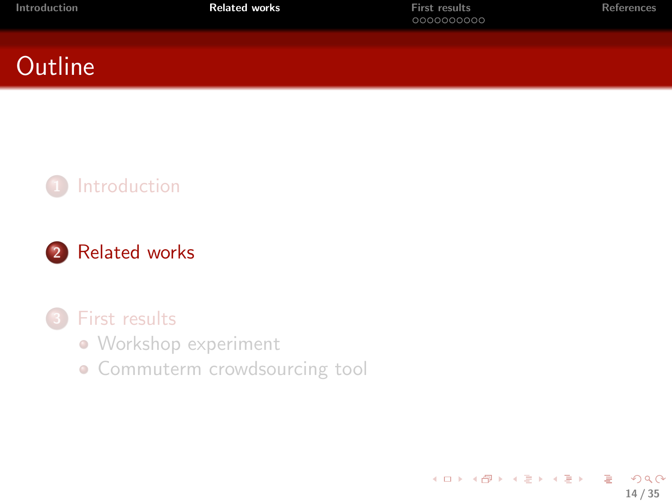| Introduction | <b>Related works</b> | <b>First results</b><br>0000000000 | References |
|--------------|----------------------|------------------------------------|------------|
|              |                      |                                    |            |

### **Outline**



#### 2 [Related works](#page-13-0)

#### [First results](#page-19-0)

- [Workshop experiment](#page-21-0)
- <span id="page-13-0"></span>**• [Commuterm crowdsourcing tool](#page-27-0)**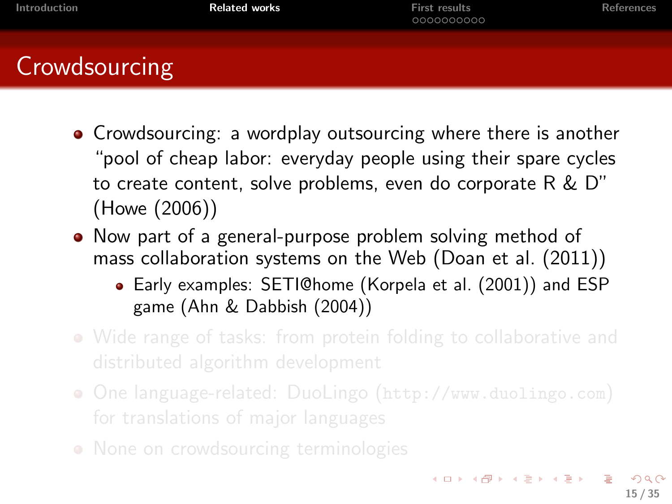| Introduction  | <b>Related works</b> | <b>First results</b><br>0000000000 | References |
|---------------|----------------------|------------------------------------|------------|
| Crowdsourcing |                      |                                    |            |

- Crowdsourcing: a wordplay outsourcing where there is another "pool of cheap labor: everyday people using their spare cycles to create content, solve problems, even do corporate R & D" (Howe (2006))
- Now part of a general-purpose problem solving method of mass collaboration systems on the Web (Doan et al. (2011))
	- Early examples: SETI@home (Korpela et al. (2001)) and ESP game (Ahn & Dabbish (2004))
- Wide range of tasks: from protein folding to collaborative and
- One language-related: DuoLingo (<http://www.duolingo.com>)
- None on crowdsourcing terminologies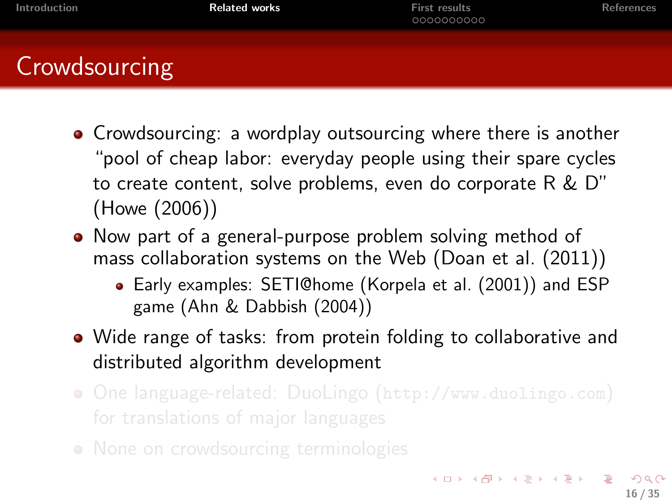| Introduction  | <b>Related works</b> | <b>First results</b><br>0000000000 | References |
|---------------|----------------------|------------------------------------|------------|
| Crowdsourcing |                      |                                    |            |

- Crowdsourcing: a wordplay outsourcing where there is another "pool of cheap labor: everyday people using their spare cycles to create content, solve problems, even do corporate R & D" (Howe (2006))
- Now part of a general-purpose problem solving method of mass collaboration systems on the Web (Doan et al. (2011))
	- Early examples: SETI@home (Korpela et al. (2001)) and ESP game (Ahn & Dabbish (2004))
- Wide range of tasks: from protein folding to collaborative and distributed algorithm development
- One language-related: DuoLingo (<http://www.duolingo.com>)
- None on crowdsourcing terminologies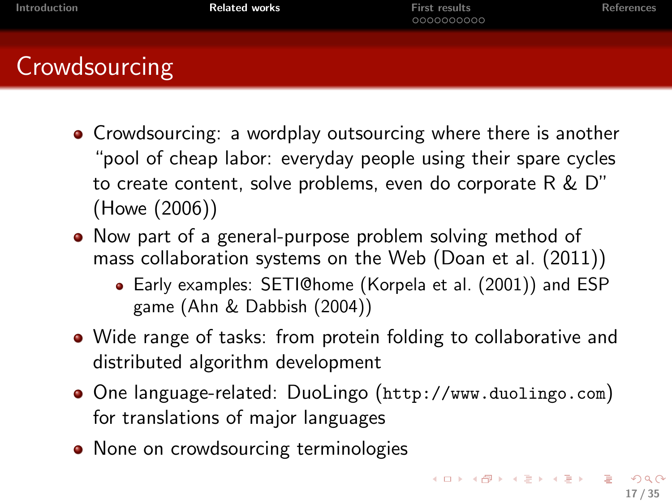| Introduction  | <b>Related works</b> | <b>First results</b><br>0000000000 | <b>References</b> |
|---------------|----------------------|------------------------------------|-------------------|
| Crowdsourcing |                      |                                    |                   |

- Crowdsourcing: a wordplay outsourcing where there is another "pool of cheap labor: everyday people using their spare cycles to create content, solve problems, even do corporate R & D" (Howe (2006))
- Now part of a general-purpose problem solving method of mass collaboration systems on the Web (Doan et al. (2011))
	- Early examples: SETI@home (Korpela et al. (2001)) and ESP game (Ahn & Dabbish (2004))
- Wide range of tasks: from protein folding to collaborative and distributed algorithm development
- One language-related: DuoLingo (<http://www.duolingo.com>) for translations of major languages
- None on crowdsourcing terminologies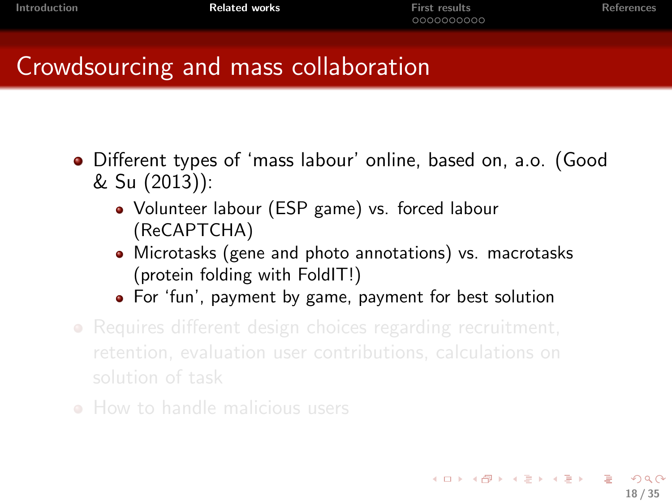18 / 35

K ロ ▶ K @ ▶ K 할 > K 할 > → 할 → ⊙ Q ⊙

#### Crowdsourcing and mass collaboration

- Different types of 'mass labour' online, based on, a.o. (Good & Su (2013)):
	- Volunteer labour (ESP game) vs. forced labour (ReCAPTCHA)
	- Microtasks (gene and photo annotations) vs. macrotasks (protein folding with FoldIT!)
	- For 'fun', payment by game, payment for best solution
- Requires different design choices regarding recruitment,
-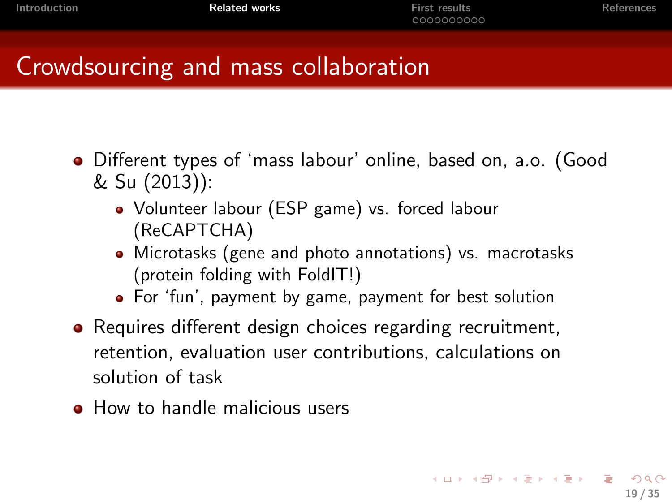#### Crowdsourcing and mass collaboration

- Different types of 'mass labour' online, based on, a.o. (Good & Su (2013)):
	- Volunteer labour (ESP game) vs. forced labour (ReCAPTCHA)
	- Microtasks (gene and photo annotations) vs. macrotasks (protein folding with FoldIT!)
	- For 'fun', payment by game, payment for best solution
- Requires different design choices regarding recruitment, retention, evaluation user contributions, calculations on solution of task
- **How to handle malicious users**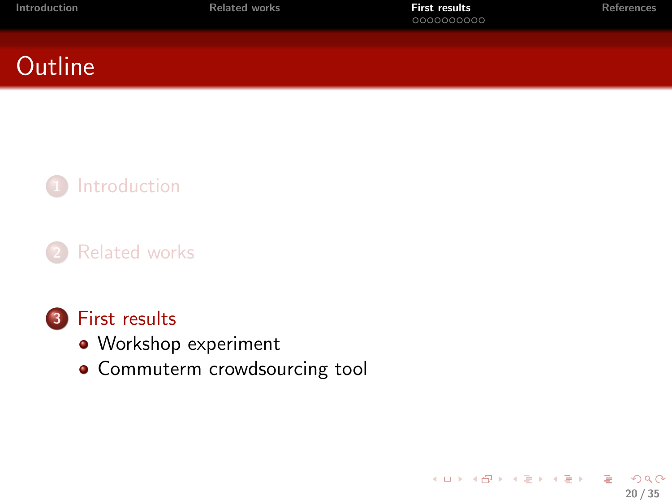<span id="page-19-0"></span>20 / 35

B

 $2990$ 

メロメ メ都 メメ きょくきょ

### **Outline**



#### **[Related works](#page-13-0)**

#### 3 [First results](#page-19-0)

- [Workshop experiment](#page-21-0)
- **[Commuterm crowdsourcing tool](#page-27-0)**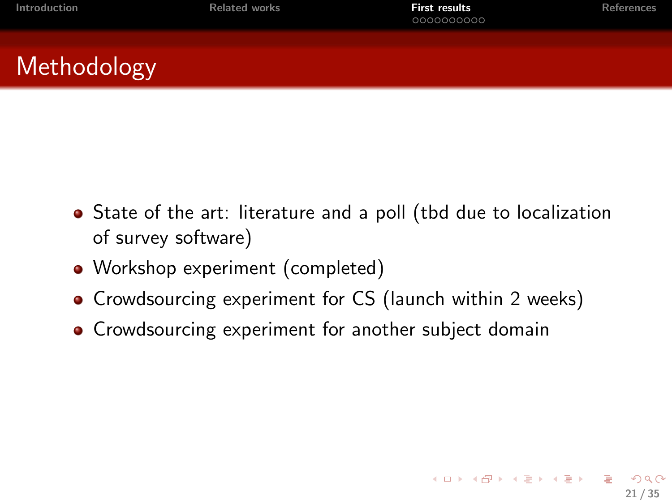21 / 35

K ロ ▶ K @ ▶ K 할 ▶ K 할 ▶ → 할 → 9 Q @

## **Methodology**

- State of the art: literature and a poll (tbd due to localization of survey software)
- Workshop experiment (completed)
- Crowdsourcing experiment for CS (launch within 2 weeks)
- Crowdsourcing experiment for another subject domain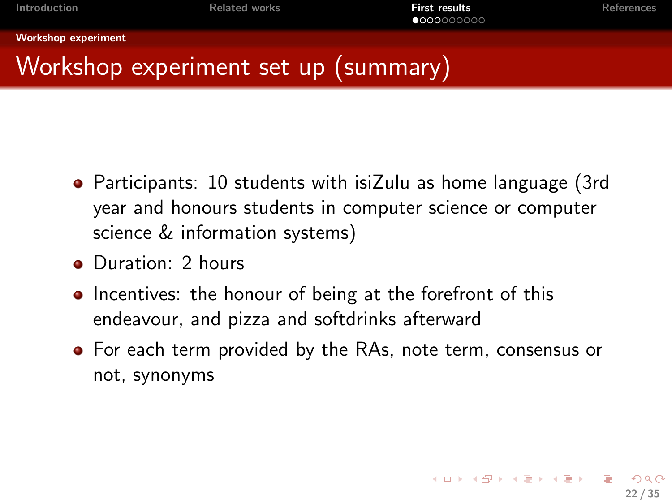[Workshop experiment](#page-21-0)

## Workshop experiment set up (summary)

- Participants: 10 students with isiZulu as home language (3rd year and honours students in computer science or computer science & information systems)
- Duration: 2 hours
- Incentives: the honour of being at the forefront of this endeavour, and pizza and softdrinks afterward
- <span id="page-21-0"></span>For each term provided by the RAs, note term, consensus or not, synonyms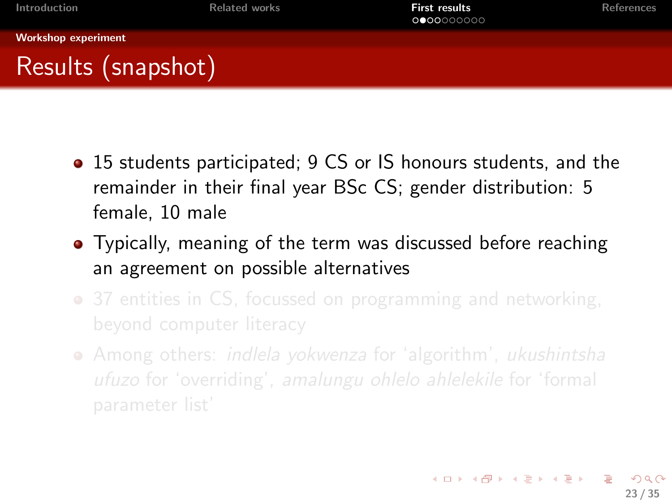- 15 students participated; 9 CS or IS honours students, and the remainder in their final year BSc CS; gender distribution: 5 female, 10 male
- Typically, meaning of the term was discussed before reaching an agreement on possible alternatives
- 37 entities in CS, focussed on programming and networking,
- <span id="page-22-0"></span>• Among others: *indlela yokwenza* for 'algorithm', *ukushintsha*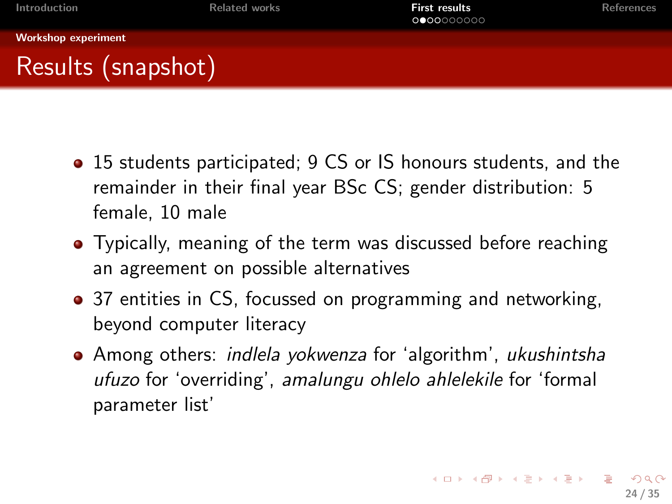- 15 students participated; 9 CS or IS honours students, and the remainder in their final year BSc CS; gender distribution: 5 female, 10 male
- Typically, meaning of the term was discussed before reaching an agreement on possible alternatives
- 37 entities in CS, focussed on programming and networking, beyond computer literacy
- <span id="page-23-0"></span>• Among others: *indlela yokwenza* for 'algorithm', *ukushintsha* ufuzo for 'overriding', amalungu ohlelo ahlelekile for 'formal parameter list'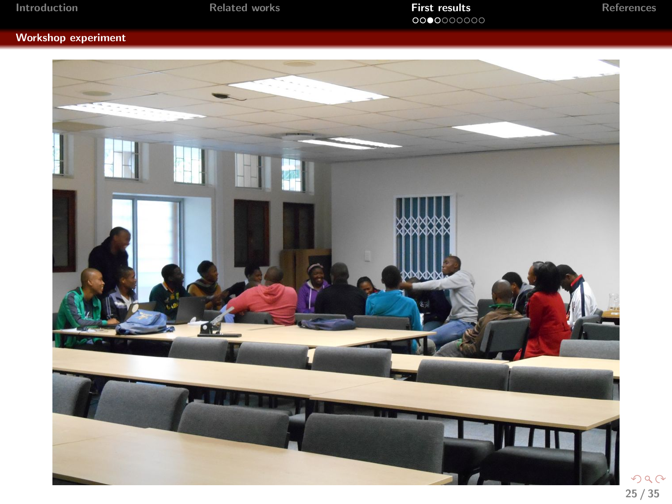|  |  |  | Introduction |  |  |
|--|--|--|--------------|--|--|
|  |  |  |              |  |  |

#### [Workshop experiment](#page-24-0)



<span id="page-24-0"></span> $299$ 25 / 35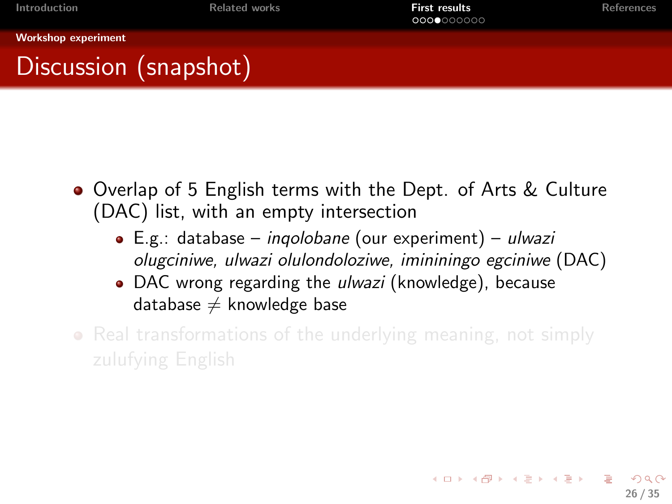<span id="page-25-0"></span>26 / 35

 $\Omega$ 

K ロ X K @ X K 경 X K 경 X 시 경 X 시 경

[Workshop experiment](#page-25-0)

## Discussion (snapshot)

- **•** Overlap of 5 English terms with the Dept. of Arts & Culture (DAC) list, with an empty intersection
	- $\bullet$  E.g.: database *ingolobane* (our experiment) *ulwazi* olugciniwe, ulwazi olulondoloziwe, imininingo egciniwe (DAC)
	- DAC wrong regarding the *ulwazi* (knowledge), because database  $\neq$  knowledge base
- Real transformations of the underlying meaning, not simply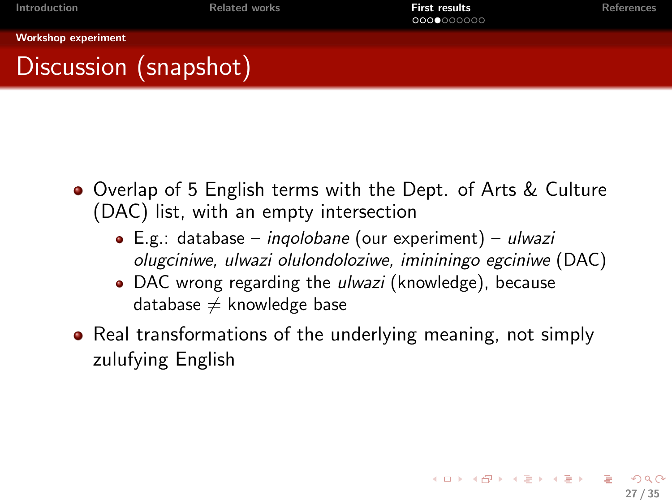<span id="page-26-0"></span>27 / 35

K ロ ▶ K @ ▶ K 할 > K 할 > → 할 → ⊙ Q ⊙

[Workshop experiment](#page-26-0)

## Discussion (snapshot)

- Overlap of 5 English terms with the Dept. of Arts & Culture (DAC) list, with an empty intersection
	- $\bullet$  E.g.: database *ingolobane* (our experiment) *ulwazi* olugciniwe, ulwazi olulondoloziwe, imininingo egciniwe (DAC)
	- DAC wrong regarding the *ulwazi* (knowledge), because database  $\neq$  knowledge base
- Real transformations of the underlying meaning, not simply zulufying English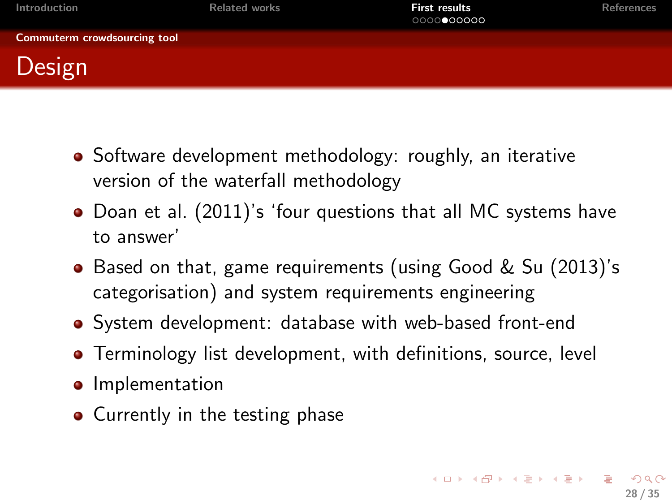| Introduction                 | <b>Related works</b> | <b>First results</b><br>0000000000 | References |
|------------------------------|----------------------|------------------------------------|------------|
| Commuterm crowdsourcing tool |                      |                                    |            |
| Design                       |                      |                                    |            |

- Software development methodology: roughly, an iterative version of the waterfall methodology
- Doan et al. (2011)'s 'four questions that all MC systems have to answer'
- Based on that, game requirements (using Good & Su (2013)'s categorisation) and system requirements engineering
- System development: database with web-based front-end
- **•** Terminology list development, with definitions, source, level
- **o** Implementation
- <span id="page-27-0"></span>• Currently in the testing phase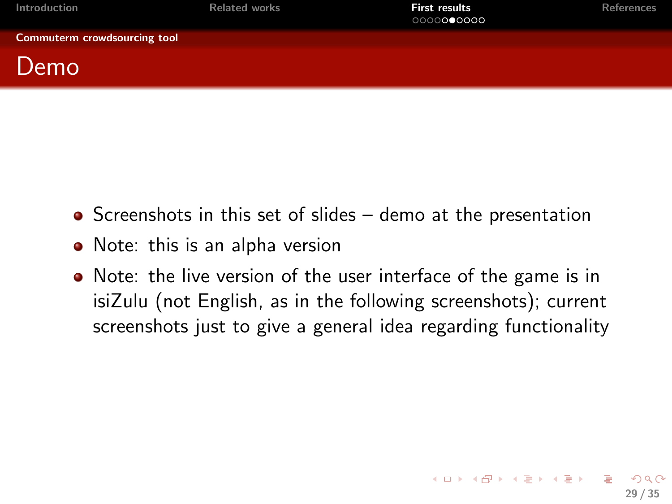| Introduction                 | <b>Related works</b> | <b>First results</b><br>0000000000 | <b>References</b> |
|------------------------------|----------------------|------------------------------------|-------------------|
| Commuterm crowdsourcing tool |                      |                                    |                   |
| Demo                         |                      |                                    |                   |

- $\bullet$  Screenshots in this set of slides demo at the presentation
- Note: this is an alpha version
- <span id="page-28-0"></span>• Note: the live version of the user interface of the game is in isiZulu (not English, as in the following screenshots); current screenshots just to give a general idea regarding functionality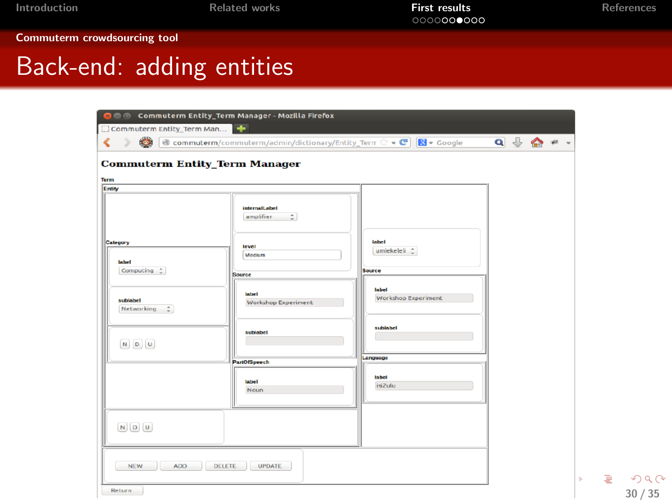[Commuterm crowdsourcing tool](#page-29-0)

## Back-end: adding entities

| 000<br>Commuterm Entity_Term Man                                        | Commuterm Entity_Term Manager - Mozilla Firefox                                                                                                     |                                                                                            |                                                                                                                                                                                                                                                                                           |
|-------------------------------------------------------------------------|-----------------------------------------------------------------------------------------------------------------------------------------------------|--------------------------------------------------------------------------------------------|-------------------------------------------------------------------------------------------------------------------------------------------------------------------------------------------------------------------------------------------------------------------------------------------|
| $\bullet$<br>$\mathcal{D}$<br>∢<br><b>Commuterm Entity_Term Manager</b> | <b>&amp; commuterm/commuterm/admin/dictionary/Entity_Term <math>\otimes \cdot \cdot \cdot</math> &gt; C   <math>\cdot \cdot \cdot</math></b> Google |                                                                                            | $\begin{array}{c} \mathbf{Q} \end{array} \begin{array}{c} \mathbf{Q} \end{array} \begin{array}{c} \mathbf{Q} \end{array} \begin{array}{c} \mathbf{Q} \end{array} \begin{array}{c} \mathbf{Q} \end{array} \begin{array}{c} \mathbf{Q} \end{array} \begin{array}{c} \mathbf{Q} \end{array}$ |
| Term<br>Entity                                                          |                                                                                                                                                     |                                                                                            |                                                                                                                                                                                                                                                                                           |
| Category<br>label<br>Computing 2<br>sublabel<br>÷<br>Networking         | <b>internalLabel</b><br>amplifier<br>level<br>Medium<br><b>Source</b><br>label<br><b>Workshop Experiment</b><br>sublabel                            | label<br>umlekeleli 11<br><b>Source</b><br>label<br><b>Workshop Experiment</b><br>sublabel |                                                                                                                                                                                                                                                                                           |
| $\begin{bmatrix} N & D \end{bmatrix}$                                   |                                                                                                                                                     | Language                                                                                   |                                                                                                                                                                                                                                                                                           |
|                                                                         | <b>PartOfSpeech</b><br>label<br>Noun                                                                                                                | labol<br><i>isiZulu</i>                                                                    |                                                                                                                                                                                                                                                                                           |
| $N$ $D$ $U$                                                             |                                                                                                                                                     |                                                                                            |                                                                                                                                                                                                                                                                                           |
| <b>NEW</b><br>ADD                                                       | <b>DELETE</b><br><b>UPDATE</b>                                                                                                                      |                                                                                            |                                                                                                                                                                                                                                                                                           |
| Return                                                                  |                                                                                                                                                     |                                                                                            |                                                                                                                                                                                                                                                                                           |

<span id="page-29-0"></span>Ğ.  $2Q$ 30 / 35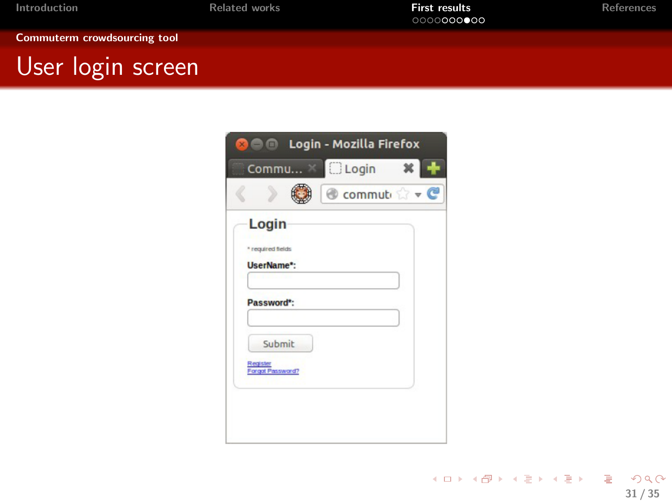#### [Commuterm crowdsourcing tool](#page-30-0)

## User login screen

<span id="page-30-0"></span>

|                              | <b>Sele Login - Mozilla Firefox</b> |
|------------------------------|-------------------------------------|
|                              | Commu & <b>DLogin</b><br>×          |
|                              | Commuti v C                         |
| Login                        |                                     |
| * required fields            |                                     |
| UserName*:                   |                                     |
|                              |                                     |
| Password*:                   |                                     |
|                              |                                     |
| Submit                       |                                     |
| Register<br>Forgot Password? |                                     |
|                              |                                     |
|                              |                                     |
|                              |                                     |
|                              |                                     |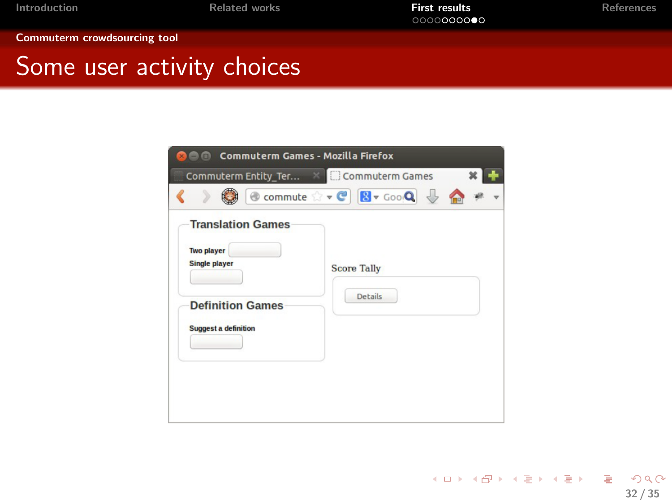[Commuterm crowdsourcing tool](#page-31-0)

#### Some user activity choices

| <b>Commuterm Games - Mozilla Firefox</b>                                                                                        |                                                  |  |
|---------------------------------------------------------------------------------------------------------------------------------|--------------------------------------------------|--|
| Commuterm Entity Ter X                                                                                                          | Commuterm Games                                  |  |
|                                                                                                                                 | <b>to commute ☆ - C B - GooQ -</b><br>$\bigodot$ |  |
| <b>Translation Games</b><br><b>Two player</b><br><b>Single player</b><br><b>Definition Games</b><br><b>Suggest a definition</b> | <b>Score Tally</b><br><b>Details</b>             |  |

<span id="page-31-0"></span>イロト イ団 トイミト イミト ニヨー つんぴ 32 / 35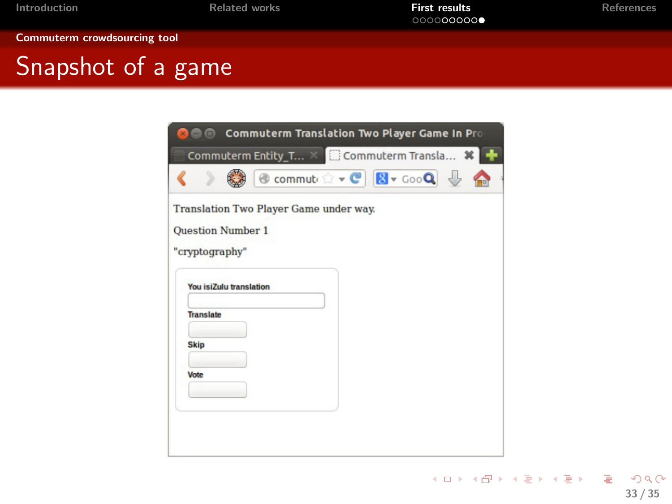[Commuterm crowdsourcing tool](#page-32-0)

## Snapshot of a game

|                          | Commuterm Translation Two Player Game In Pro        |
|--------------------------|-----------------------------------------------------|
|                          | Commuterm Entity_T × Commuterm Transla <sup>*</sup> |
|                          | Commuti x + C 8 + GooQ                              |
|                          | Translation Two Player Game under way.              |
| <b>Question Number 1</b> |                                                     |
| "cryptography"           |                                                     |
|                          | <b>You isiZulu translation</b>                      |
| <b>Translate</b>         |                                                     |
| <b>Skip</b>              |                                                     |
| Vote                     |                                                     |
|                          |                                                     |
|                          |                                                     |
|                          |                                                     |
|                          |                                                     |

<span id="page-32-0"></span>KOX KOX KEX KEX E 1990 33 / 35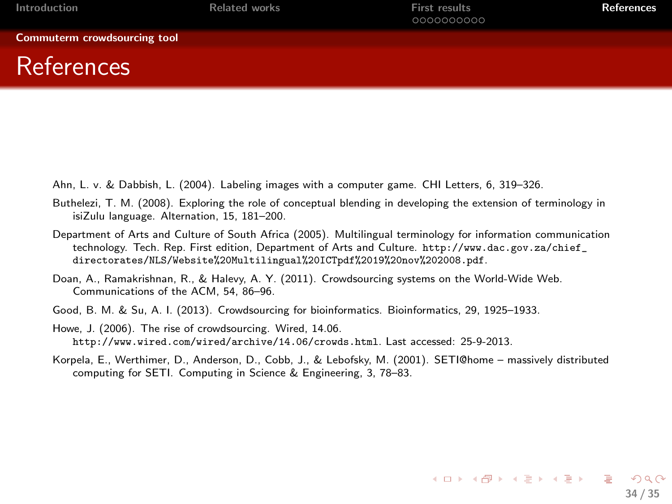| Introduction                 | <b>Related works</b> | <b>First results</b><br>0000000000 | References |
|------------------------------|----------------------|------------------------------------|------------|
| Commuterm crowdsourcing tool |                      |                                    |            |
| <b>References</b>            |                      |                                    |            |

- Ahn, L. v. & Dabbish, L. (2004). Labeling images with a computer game. CHI Letters, 6, 319–326.
- Buthelezi, T. M. (2008). Exploring the role of conceptual blending in developing the extension of terminology in isiZulu language. Alternation, 15, 181–200.
- Department of Arts and Culture of South Africa (2005). Multilingual terminology for information communication technology. Tech. Rep. First edition, Department of Arts and Culture. [http://www.dac.gov.za/chief\\_](http://www.dac.gov.za/chief_directorates/NLS/Website%20Multilingual%20ICTpdf%2019%20nov%202008.pdf) [directorates/NLS/Website%20Multilingual%20ICTpdf%2019%20nov%202008.pdf](http://www.dac.gov.za/chief_directorates/NLS/Website%20Multilingual%20ICTpdf%2019%20nov%202008.pdf).
- Doan, A., Ramakrishnan, R., & Halevy, A. Y. (2011). Crowdsourcing systems on the World-Wide Web. Communications of the ACM, 54, 86–96.
- Good, B. M. & Su, A. I. (2013). Crowdsourcing for bioinformatics. Bioinformatics, 29, 1925–1933.
- Howe, J. (2006). The rise of crowdsourcing. Wired, 14.06. <http://www.wired.com/wired/archive/14.06/crowds.html>. Last accessed: 25-9-2013.
- <span id="page-33-0"></span>Korpela, E., Werthimer, D., Anderson, D., Cobb, J., & Lebofsky, M. (2001). SETI@home – massively distributed computing for SETI. Computing in Science & Engineering, 3, 78–83.